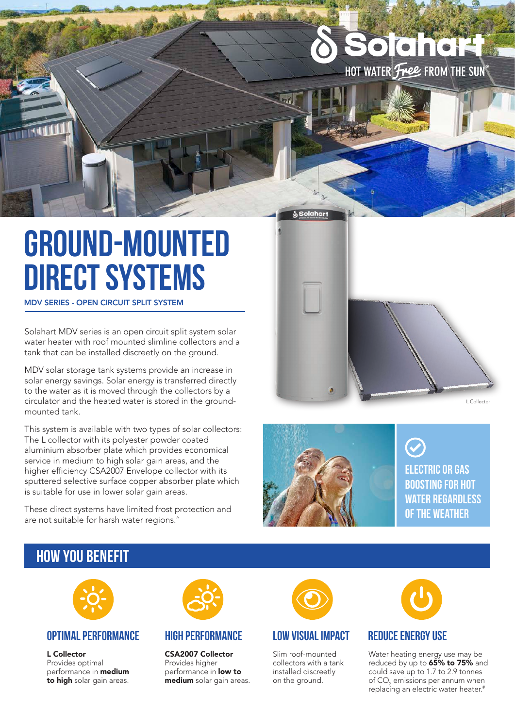## **Solahart** HOT WATER Free FROM THE SUN

# **ground-mounted direct systems**

#### MDV SERIES - OPEN CIRCUIT SPLIT SYSTEM

Solahart MDV series is an open circuit split system solar water heater with roof mounted slimline collectors and a tank that can be installed discreetly on the ground.

MDV solar storage tank systems provide an increase in solar energy savings. Solar energy is transferred directly to the water as it is moved through the collectors by a circulator and the heated water is stored in the groundmounted tank.

This system is available with two types of solar collectors: The L collector with its polyester powder coated aluminium absorber plate which provides economical service in medium to high solar gain areas, and the higher efficiency CSA2007 Envelope collector with its sputtered selective surface copper absorber plate which is suitable for use in lower solar gain areas.

These direct systems have limited frost protection and are not suitable for harsh water regions.<sup>^</sup>





Solahar

**electric or gas boosting for hot water regardless of the weather**

### **how you benefit**



#### **Optimal performance High performance**

L Collector Provides optimal performance in medium to high solar gain areas.



CSA2007 Collector Provides higher performance in **low to** medium solar gain areas.



#### **low visual impact**

Slim roof-mounted collectors with a tank installed discreetly on the ground.



#### **reduce energy use**

Water heating energy use may be reduced by up to 65% to 75% and could save up to 1.7 to 2.9 tonnes of  $\mathsf{CO}_2$  emissions per annum when replacing an electric water heater.#